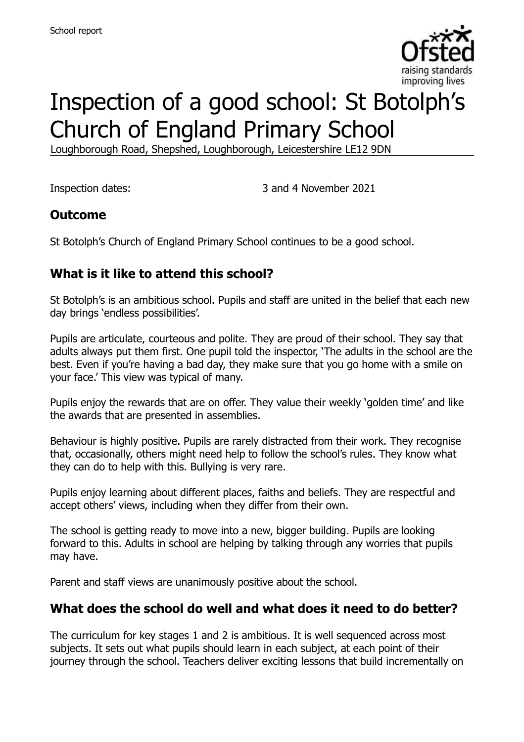

# Inspection of a good school: St Botolph's Church of England Primary School

Loughborough Road, Shepshed, Loughborough, Leicestershire LE12 9DN

Inspection dates: 3 and 4 November 2021

#### **Outcome**

St Botolph's Church of England Primary School continues to be a good school.

# **What is it like to attend this school?**

St Botolph's is an ambitious school. Pupils and staff are united in the belief that each new day brings 'endless possibilities'.

Pupils are articulate, courteous and polite. They are proud of their school. They say that adults always put them first. One pupil told the inspector, 'The adults in the school are the best. Even if you're having a bad day, they make sure that you go home with a smile on your face.' This view was typical of many.

Pupils enjoy the rewards that are on offer. They value their weekly 'golden time' and like the awards that are presented in assemblies.

Behaviour is highly positive. Pupils are rarely distracted from their work. They recognise that, occasionally, others might need help to follow the school's rules. They know what they can do to help with this. Bullying is very rare.

Pupils enjoy learning about different places, faiths and beliefs. They are respectful and accept others' views, including when they differ from their own.

The school is getting ready to move into a new, bigger building. Pupils are looking forward to this. Adults in school are helping by talking through any worries that pupils may have.

Parent and staff views are unanimously positive about the school.

#### **What does the school do well and what does it need to do better?**

The curriculum for key stages 1 and 2 is ambitious. It is well sequenced across most subjects. It sets out what pupils should learn in each subject, at each point of their journey through the school. Teachers deliver exciting lessons that build incrementally on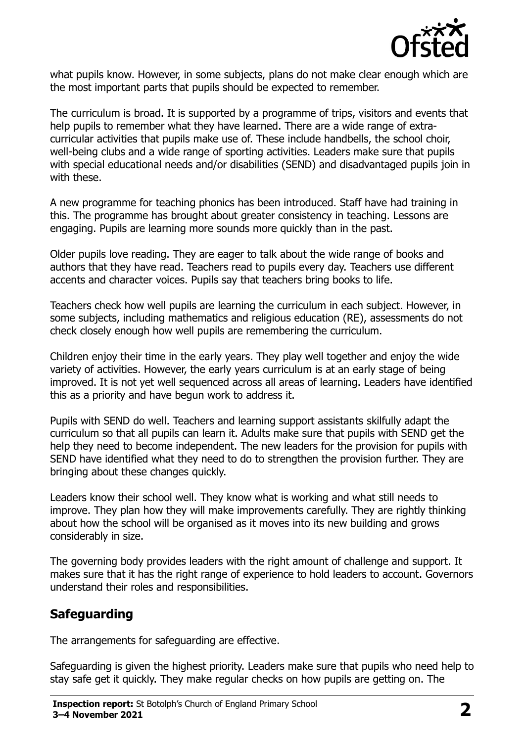

what pupils know. However, in some subjects, plans do not make clear enough which are the most important parts that pupils should be expected to remember.

The curriculum is broad. It is supported by a programme of trips, visitors and events that help pupils to remember what they have learned. There are a wide range of extracurricular activities that pupils make use of. These include handbells, the school choir, well-being clubs and a wide range of sporting activities. Leaders make sure that pupils with special educational needs and/or disabilities (SEND) and disadvantaged pupils join in with these.

A new programme for teaching phonics has been introduced. Staff have had training in this. The programme has brought about greater consistency in teaching. Lessons are engaging. Pupils are learning more sounds more quickly than in the past.

Older pupils love reading. They are eager to talk about the wide range of books and authors that they have read. Teachers read to pupils every day. Teachers use different accents and character voices. Pupils say that teachers bring books to life.

Teachers check how well pupils are learning the curriculum in each subject. However, in some subjects, including mathematics and religious education (RE), assessments do not check closely enough how well pupils are remembering the curriculum.

Children enjoy their time in the early years. They play well together and enjoy the wide variety of activities. However, the early years curriculum is at an early stage of being improved. It is not yet well sequenced across all areas of learning. Leaders have identified this as a priority and have begun work to address it.

Pupils with SEND do well. Teachers and learning support assistants skilfully adapt the curriculum so that all pupils can learn it. Adults make sure that pupils with SEND get the help they need to become independent. The new leaders for the provision for pupils with SEND have identified what they need to do to strengthen the provision further. They are bringing about these changes quickly.

Leaders know their school well. They know what is working and what still needs to improve. They plan how they will make improvements carefully. They are rightly thinking about how the school will be organised as it moves into its new building and grows considerably in size.

The governing body provides leaders with the right amount of challenge and support. It makes sure that it has the right range of experience to hold leaders to account. Governors understand their roles and responsibilities.

# **Safeguarding**

The arrangements for safeguarding are effective.

Safeguarding is given the highest priority. Leaders make sure that pupils who need help to stay safe get it quickly. They make regular checks on how pupils are getting on. The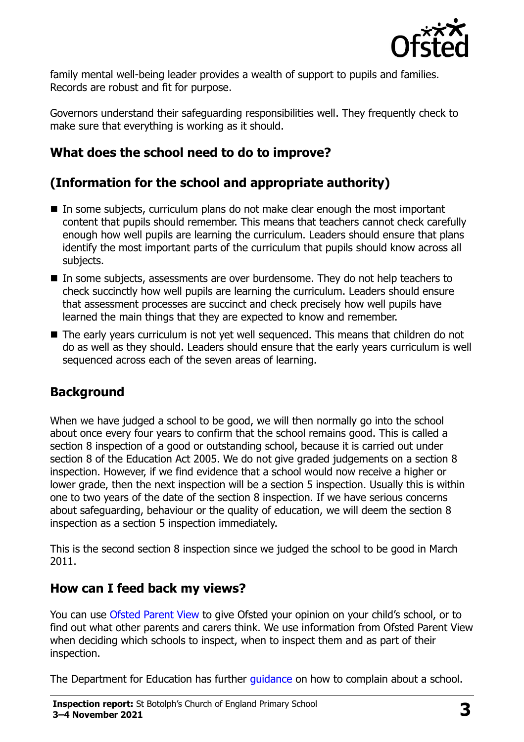

family mental well-being leader provides a wealth of support to pupils and families. Records are robust and fit for purpose.

Governors understand their safeguarding responsibilities well. They frequently check to make sure that everything is working as it should.

# **What does the school need to do to improve?**

# **(Information for the school and appropriate authority)**

- $\blacksquare$  In some subjects, curriculum plans do not make clear enough the most important content that pupils should remember. This means that teachers cannot check carefully enough how well pupils are learning the curriculum. Leaders should ensure that plans identify the most important parts of the curriculum that pupils should know across all subjects.
- In some subjects, assessments are over burdensome. They do not help teachers to check succinctly how well pupils are learning the curriculum. Leaders should ensure that assessment processes are succinct and check precisely how well pupils have learned the main things that they are expected to know and remember.
- The early years curriculum is not yet well sequenced. This means that children do not do as well as they should. Leaders should ensure that the early years curriculum is well sequenced across each of the seven areas of learning.

# **Background**

When we have judged a school to be good, we will then normally go into the school about once every four years to confirm that the school remains good. This is called a section 8 inspection of a good or outstanding school, because it is carried out under section 8 of the Education Act 2005. We do not give graded judgements on a section 8 inspection. However, if we find evidence that a school would now receive a higher or lower grade, then the next inspection will be a section 5 inspection. Usually this is within one to two years of the date of the section 8 inspection. If we have serious concerns about safeguarding, behaviour or the quality of education, we will deem the section 8 inspection as a section 5 inspection immediately.

This is the second section 8 inspection since we judged the school to be good in March 2011.

#### **How can I feed back my views?**

You can use [Ofsted Parent View](https://parentview.ofsted.gov.uk/) to give Ofsted your opinion on your child's school, or to find out what other parents and carers think. We use information from Ofsted Parent View when deciding which schools to inspect, when to inspect them and as part of their inspection.

The Department for Education has further [guidance](http://www.gov.uk/complain-about-school) on how to complain about a school.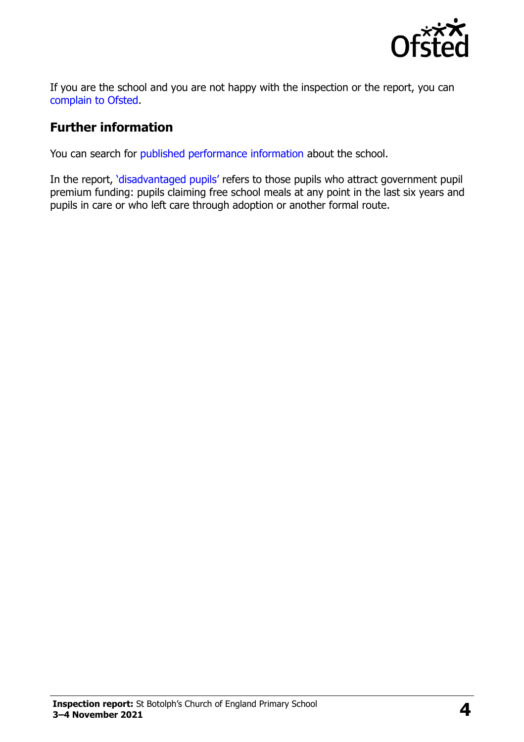

If you are the school and you are not happy with the inspection or the report, you can [complain to Ofsted.](https://www.gov.uk/complain-ofsted-report)

#### **Further information**

You can search for [published performance information](http://www.compare-school-performance.service.gov.uk/) about the school.

In the report, '[disadvantaged pupils](http://www.gov.uk/guidance/pupil-premium-information-for-schools-and-alternative-provision-settings)' refers to those pupils who attract government pupil premium funding: pupils claiming free school meals at any point in the last six years and pupils in care or who left care through adoption or another formal route.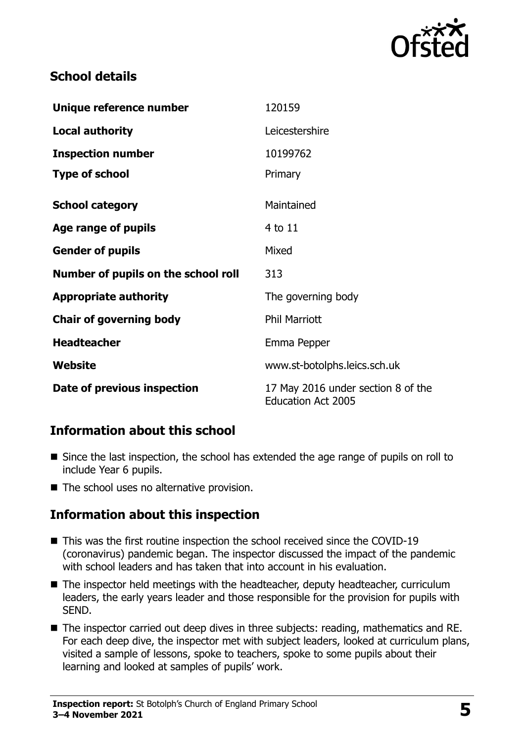

# **School details**

| Unique reference number             | 120159                                                          |
|-------------------------------------|-----------------------------------------------------------------|
| <b>Local authority</b>              | Leicestershire                                                  |
| <b>Inspection number</b>            | 10199762                                                        |
| <b>Type of school</b>               | Primary                                                         |
| <b>School category</b>              | Maintained                                                      |
| Age range of pupils                 | 4 to 11                                                         |
| <b>Gender of pupils</b>             | Mixed                                                           |
| Number of pupils on the school roll | 313                                                             |
| <b>Appropriate authority</b>        | The governing body                                              |
| <b>Chair of governing body</b>      | <b>Phil Marriott</b>                                            |
| <b>Headteacher</b>                  | Emma Pepper                                                     |
| <b>Website</b>                      | www.st-botolphs.leics.sch.uk                                    |
| Date of previous inspection         | 17 May 2016 under section 8 of the<br><b>Education Act 2005</b> |

#### **Information about this school**

- Since the last inspection, the school has extended the age range of pupils on roll to include Year 6 pupils.
- The school uses no alternative provision.

# **Information about this inspection**

- This was the first routine inspection the school received since the COVID-19 (coronavirus) pandemic began. The inspector discussed the impact of the pandemic with school leaders and has taken that into account in his evaluation.
- The inspector held meetings with the headteacher, deputy headteacher, curriculum leaders, the early years leader and those responsible for the provision for pupils with SEND.
- The inspector carried out deep dives in three subjects: reading, mathematics and RE. For each deep dive, the inspector met with subject leaders, looked at curriculum plans, visited a sample of lessons, spoke to teachers, spoke to some pupils about their learning and looked at samples of pupils' work.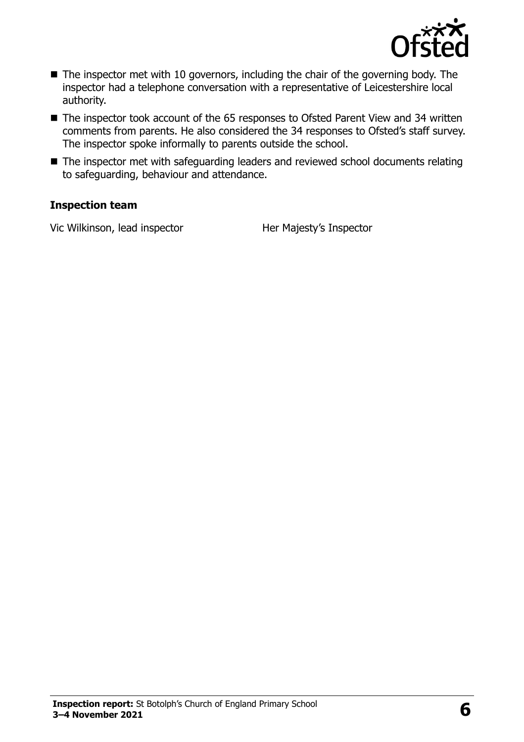

- The inspector met with 10 governors, including the chair of the governing body. The inspector had a telephone conversation with a representative of Leicestershire local authority.
- The inspector took account of the 65 responses to Ofsted Parent View and 34 written comments from parents. He also considered the 34 responses to Ofsted's staff survey. The inspector spoke informally to parents outside the school.
- The inspector met with safeguarding leaders and reviewed school documents relating to safeguarding, behaviour and attendance.

#### **Inspection team**

Vic Wilkinson, lead inspector **Her Majesty's Inspector**